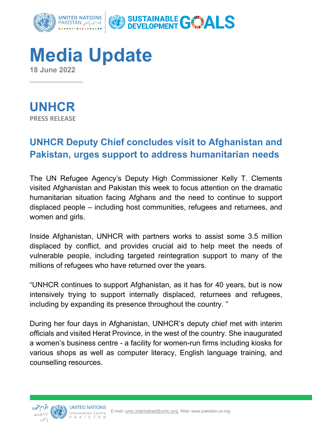

**Media Update 18 June 2022**

**UNHCR PRESS RELEASE**

 $\overline{\phantom{a}}$ 

## **UNHCR Deputy Chief concludes visit to Afghanistan and Pakistan, urges support to address humanitarian needs**

The UN Refugee Agency's Deputy High Commissioner Kelly T. Clements visited Afghanistan and Pakistan this week to focus attention on the dramatic humanitarian situation facing Afghans and the need to continue to support displaced people – including host communities, refugees and returnees, and women and girls.

Inside Afghanistan, UNHCR with partners works to assist some 3.5 million displaced by conflict, and provides crucial aid to help meet the needs of vulnerable people, including targeted reintegration support to many of the millions of refugees who have returned over the years.

"UNHCR continues to support Afghanistan, as it has for 40 years, but is now intensively trying to support internally displaced, returnees and refugees, including by expanding its presence throughout the country. "

During her four days in Afghanistan, UNHCR's deputy chief met with interim officials and visited Herat Province, in the west of the country. She inaugurated a women's business centre - a facility for women-run firms including kiosks for various shops as well as computer literacy, English language training, and counselling resources.



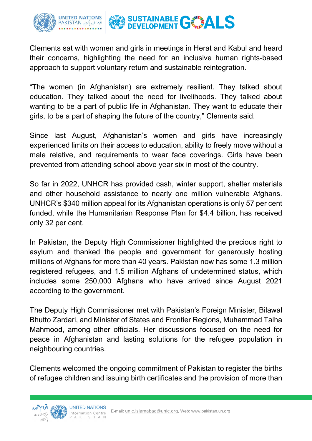

Clements sat with women and girls in meetings in Herat and Kabul and heard their concerns, highlighting the need for an inclusive human rights-based approach to support voluntary return and sustainable reintegration.

"The women (in Afghanistan) are extremely resilient. They talked about education. They talked about the need for livelihoods. They talked about wanting to be a part of public life in Afghanistan. They want to educate their girls, to be a part of shaping the future of the country," Clements said.

Since last August, Afghanistan's women and girls have increasingly experienced limits on their access to education, ability to freely move without a male relative, and requirements to wear face coverings. Girls have been prevented from attending school above year six in most of the country.

So far in 2022, UNHCR has provided cash, winter support, shelter materials and other household assistance to nearly one million vulnerable Afghans. UNHCR's \$340 million appeal for its Afghanistan operations is only 57 per cent funded, while the Humanitarian Response Plan for \$4.4 billion, has received only 32 per cent.

In Pakistan, the Deputy High Commissioner highlighted the precious right to asylum and thanked the people and government for generously hosting millions of Afghans for more than 40 years. Pakistan now has some 1.3 million registered refugees, and 1.5 million Afghans of undetermined status, which includes some 250,000 Afghans who have arrived since August 2021 according to the government.

The Deputy High Commissioner met with Pakistan's Foreign Minister, Bilawal Bhutto Zardari, and Minister of States and Frontier Regions, Muhammad Talha Mahmood, among other officials. Her discussions focused on the need for peace in Afghanistan and lasting solutions for the refugee population in neighbouring countries.

Clements welcomed the ongoing commitment of Pakistan to register the births of refugee children and issuing birth certificates and the provision of more than